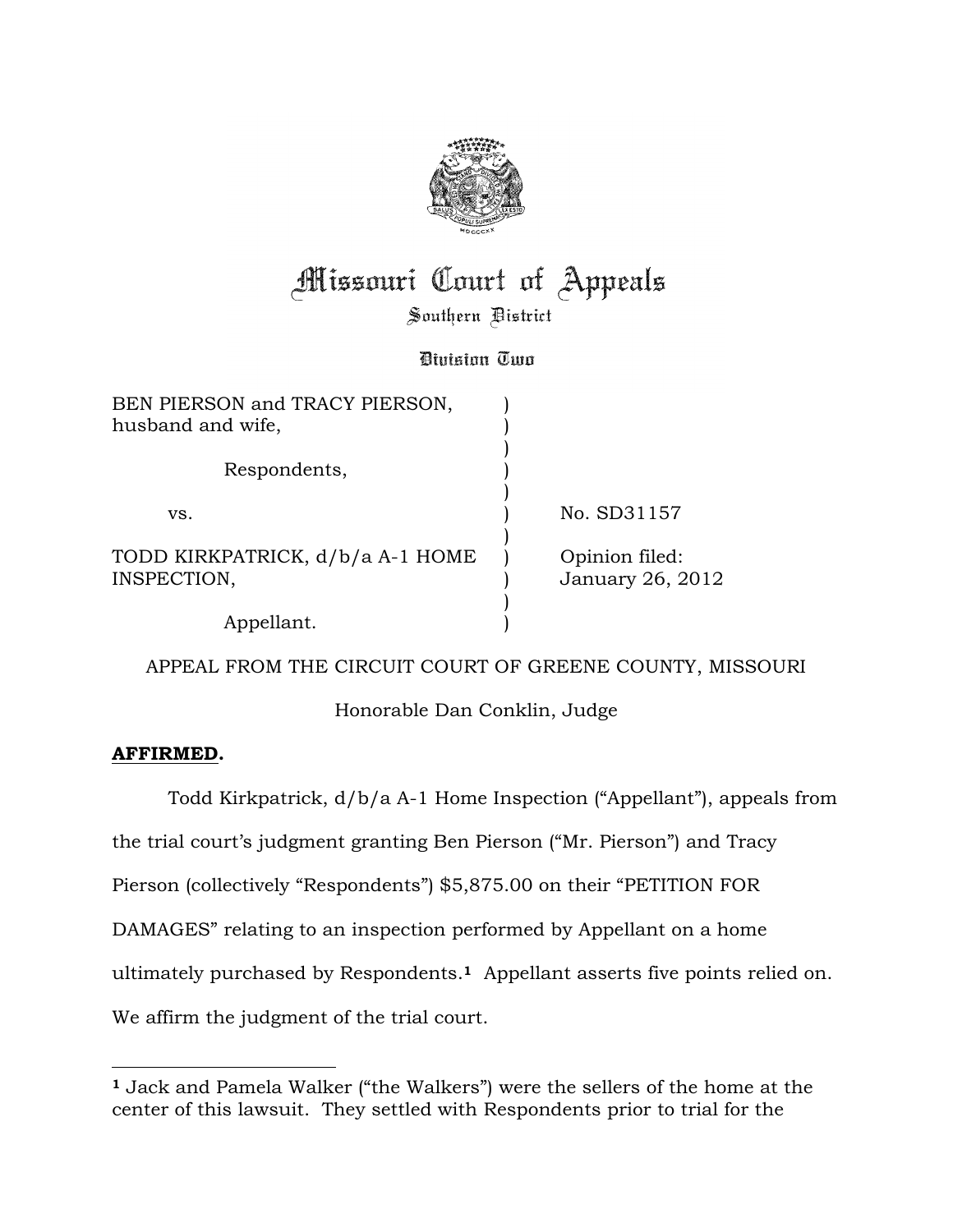

# **Missouri Court of Appeals**

Southern District

Bivision Two

| BEN PIERSON and TRACY PIERSON,<br>husband and wife, |                                    |
|-----------------------------------------------------|------------------------------------|
| Respondents,                                        |                                    |
| VS.                                                 | No. SD31157                        |
| TODD KIRKPATRICK, d/b/a A-1 HOME<br>INSPECTION,     | Opinion filed:<br>January 26, 2012 |
| Appellant.                                          |                                    |

APPEAL FROM THE CIRCUIT COURT OF GREENE COUNTY, MISSOURI

Honorable Dan Conklin, Judge

### **AFFIRMED.**

 $\overline{a}$ 

 Todd Kirkpatrick, d/b/a A-1 Home Inspection ("Appellant"), appeals from the trial court's judgment granting Ben Pierson ("Mr. Pierson") and Tracy Pierson (collectively "Respondents") \$5,875.00 on their "PETITION FOR DAMAGES" relating to an inspection performed by Appellant on a home ultimately purchased by Respondents.**<sup>1</sup>** Appellant asserts five points relied on. We affirm the judgment of the trial court.

**<sup>1</sup>** Jack and Pamela Walker ("the Walkers") were the sellers of the home at the center of this lawsuit. They settled with Respondents prior to trial for the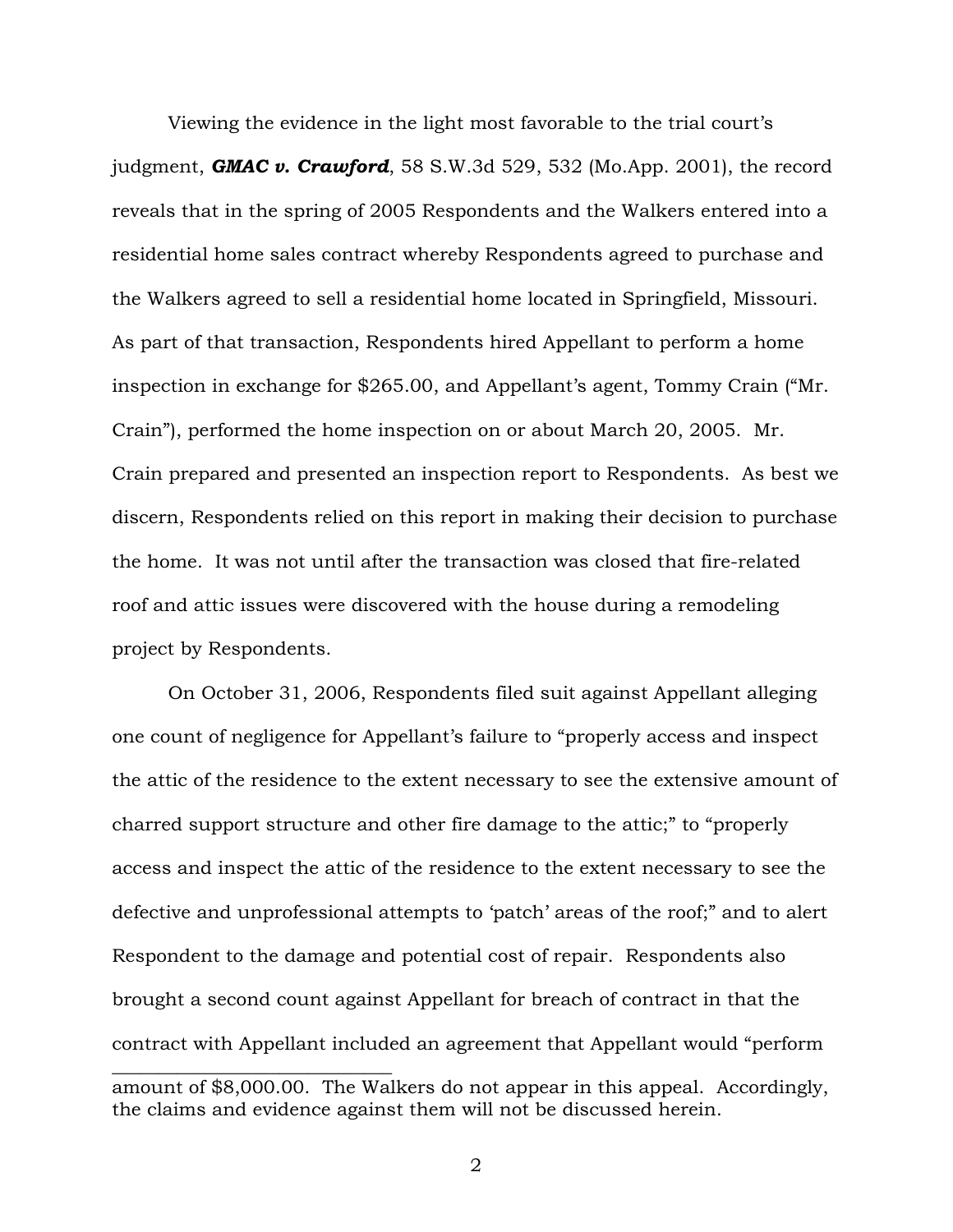Viewing the evidence in the light most favorable to the trial court's judgment, *GMAC v. Crawford*, 58 S.W.3d 529, 532 (Mo.App. 2001), the record reveals that in the spring of 2005 Respondents and the Walkers entered into a residential home sales contract whereby Respondents agreed to purchase and the Walkers agreed to sell a residential home located in Springfield, Missouri. As part of that transaction, Respondents hired Appellant to perform a home inspection in exchange for \$265.00, and Appellant's agent, Tommy Crain ("Mr. Crain"), performed the home inspection on or about March 20, 2005. Mr. Crain prepared and presented an inspection report to Respondents. As best we discern, Respondents relied on this report in making their decision to purchase the home. It was not until after the transaction was closed that fire-related roof and attic issues were discovered with the house during a remodeling project by Respondents.

On October 31, 2006, Respondents filed suit against Appellant alleging one count of negligence for Appellant's failure to "properly access and inspect the attic of the residence to the extent necessary to see the extensive amount of charred support structure and other fire damage to the attic;" to "properly access and inspect the attic of the residence to the extent necessary to see the defective and unprofessional attempts to 'patch' areas of the roof;" and to alert Respondent to the damage and potential cost of repair. Respondents also brought a second count against Appellant for breach of contract in that the contract with Appellant included an agreement that Appellant would "perform  $\_$ amount of \$8,000.00. The Walkers do not appear in this appeal. Accordingly,

the claims and evidence against them will not be discussed herein.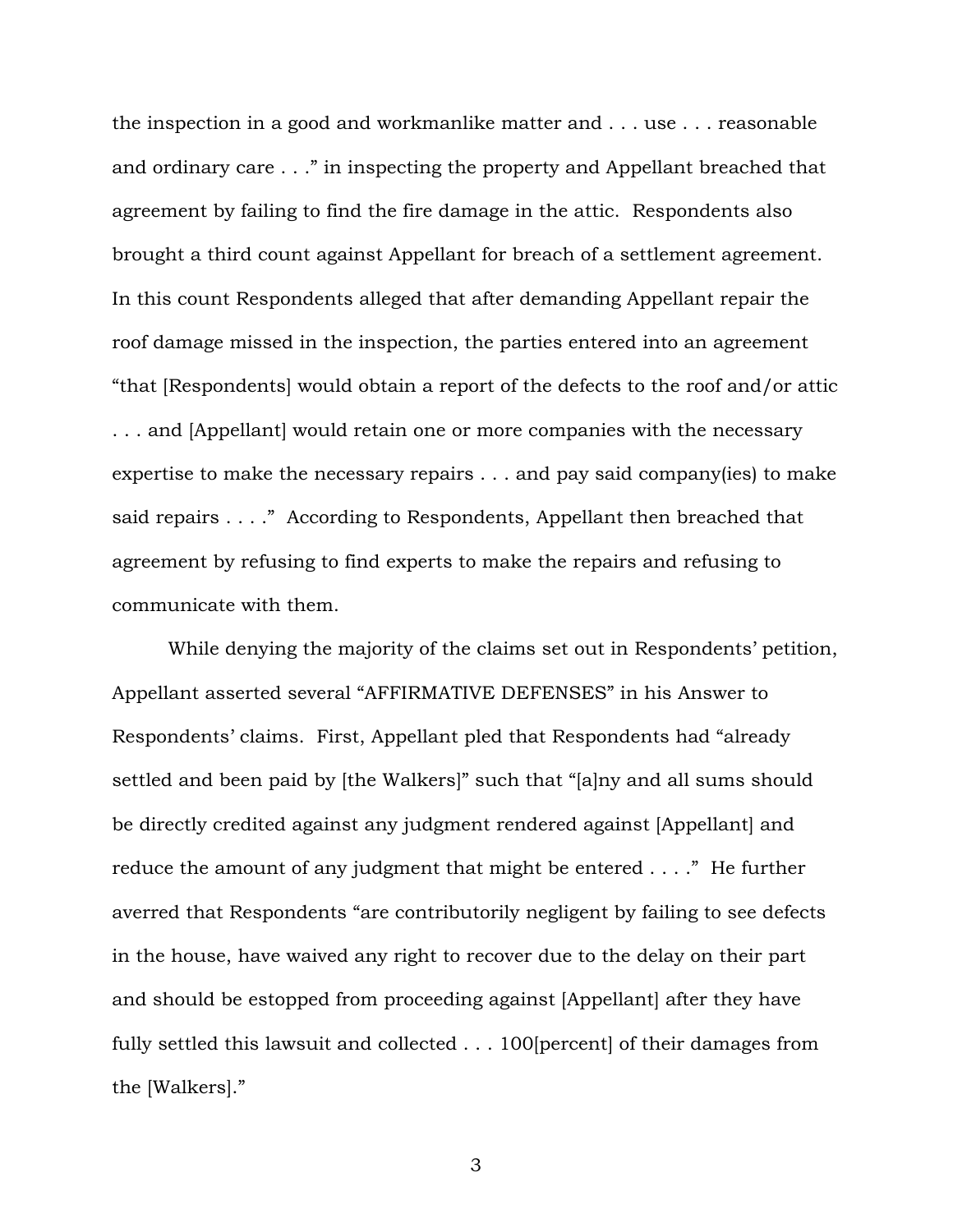the inspection in a good and workmanlike matter and . . . use . . . reasonable and ordinary care . . ." in inspecting the property and Appellant breached that agreement by failing to find the fire damage in the attic. Respondents also brought a third count against Appellant for breach of a settlement agreement. In this count Respondents alleged that after demanding Appellant repair the roof damage missed in the inspection, the parties entered into an agreement "that [Respondents] would obtain a report of the defects to the roof and/or attic . . . and [Appellant] would retain one or more companies with the necessary expertise to make the necessary repairs . . . and pay said company(ies) to make said repairs . . . ." According to Respondents, Appellant then breached that agreement by refusing to find experts to make the repairs and refusing to communicate with them.

 While denying the majority of the claims set out in Respondents' petition, Appellant asserted several "AFFIRMATIVE DEFENSES" in his Answer to Respondents' claims. First, Appellant pled that Respondents had "already settled and been paid by [the Walkers]" such that "[a]ny and all sums should be directly credited against any judgment rendered against [Appellant] and reduce the amount of any judgment that might be entered . . . ." He further averred that Respondents "are contributorily negligent by failing to see defects in the house, have waived any right to recover due to the delay on their part and should be estopped from proceeding against [Appellant] after they have fully settled this lawsuit and collected . . . 100 [percent] of their damages from the [Walkers]."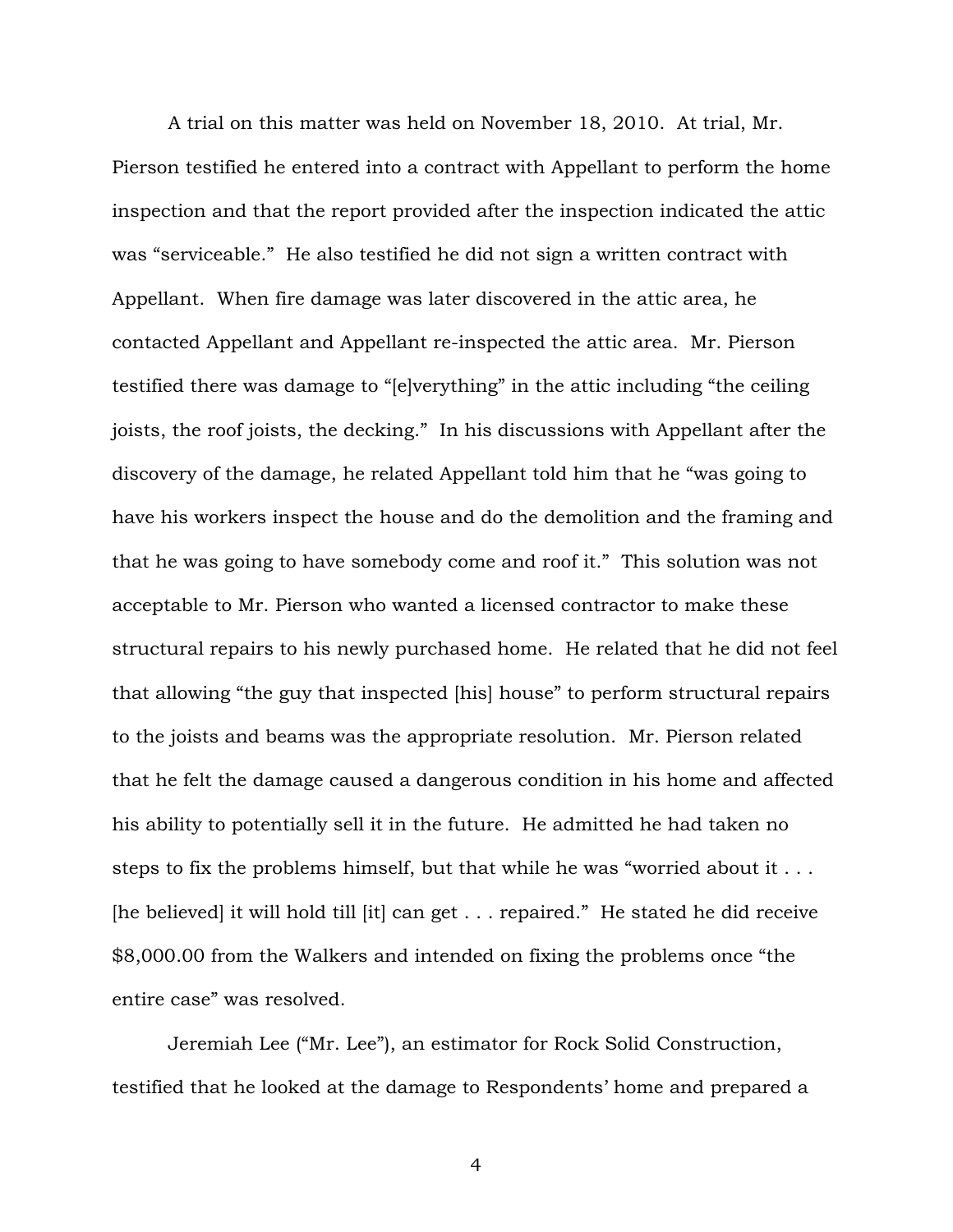A trial on this matter was held on November 18, 2010. At trial, Mr. Pierson testified he entered into a contract with Appellant to perform the home inspection and that the report provided after the inspection indicated the attic was "serviceable." He also testified he did not sign a written contract with Appellant. When fire damage was later discovered in the attic area, he contacted Appellant and Appellant re-inspected the attic area. Mr. Pierson testified there was damage to "[e]verything" in the attic including "the ceiling joists, the roof joists, the decking." In his discussions with Appellant after the discovery of the damage, he related Appellant told him that he "was going to have his workers inspect the house and do the demolition and the framing and that he was going to have somebody come and roof it." This solution was not acceptable to Mr. Pierson who wanted a licensed contractor to make these structural repairs to his newly purchased home. He related that he did not feel that allowing "the guy that inspected [his] house" to perform structural repairs to the joists and beams was the appropriate resolution. Mr. Pierson related that he felt the damage caused a dangerous condition in his home and affected his ability to potentially sell it in the future. He admitted he had taken no steps to fix the problems himself, but that while he was "worried about it . . . [he believed] it will hold till [it] can get . . . repaired." He stated he did receive \$8,000.00 from the Walkers and intended on fixing the problems once "the entire case" was resolved.

 Jeremiah Lee ("Mr. Lee"), an estimator for Rock Solid Construction, testified that he looked at the damage to Respondents' home and prepared a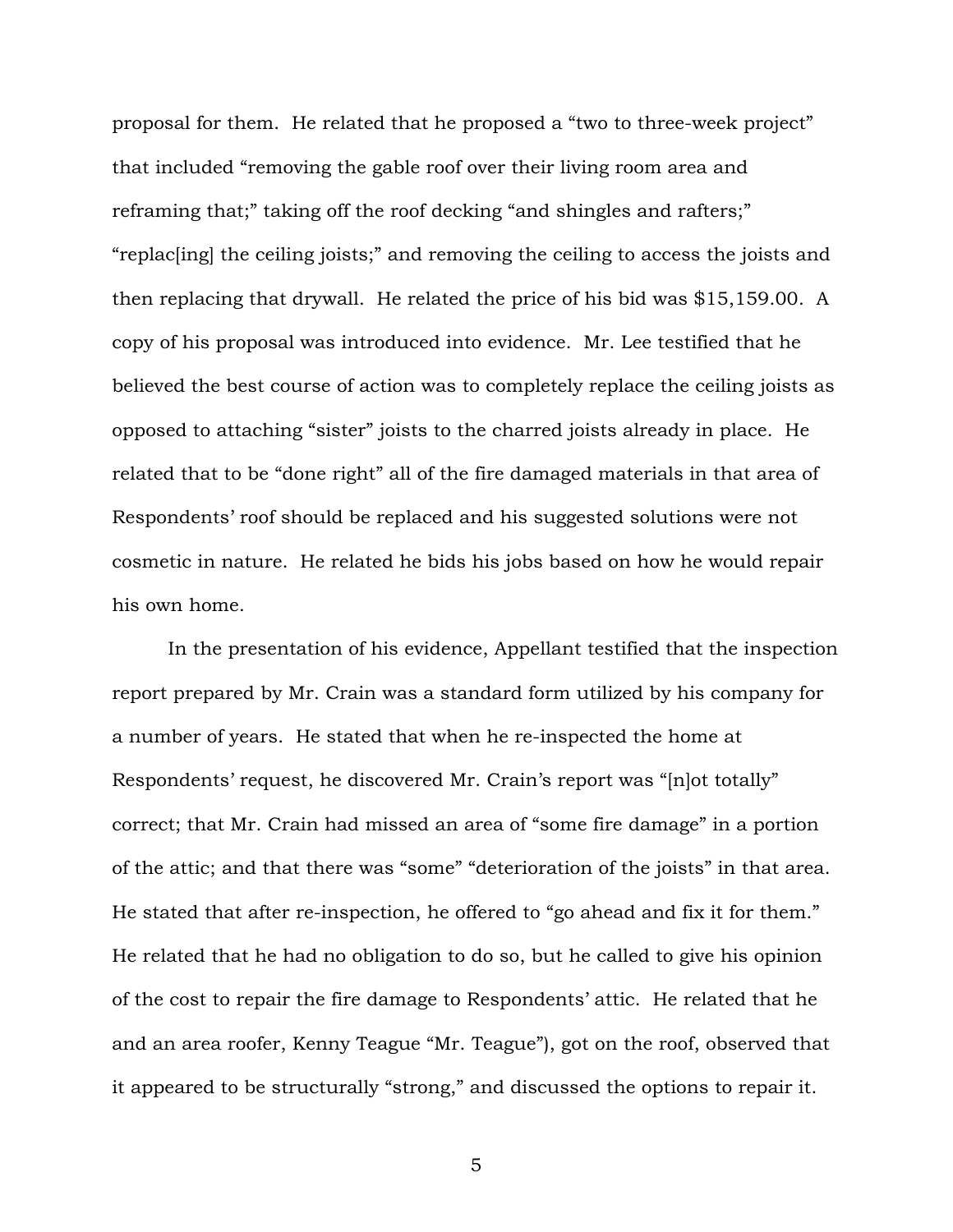proposal for them. He related that he proposed a "two to three-week project" that included "removing the gable roof over their living room area and reframing that;" taking off the roof decking "and shingles and rafters;" "replac[ing] the ceiling joists;" and removing the ceiling to access the joists and then replacing that drywall. He related the price of his bid was \$15,159.00. A copy of his proposal was introduced into evidence. Mr. Lee testified that he believed the best course of action was to completely replace the ceiling joists as opposed to attaching "sister" joists to the charred joists already in place. He related that to be "done right" all of the fire damaged materials in that area of Respondents' roof should be replaced and his suggested solutions were not cosmetic in nature. He related he bids his jobs based on how he would repair his own home.

 In the presentation of his evidence, Appellant testified that the inspection report prepared by Mr. Crain was a standard form utilized by his company for a number of years. He stated that when he re-inspected the home at Respondents' request, he discovered Mr. Crain's report was "[n]ot totally" correct; that Mr. Crain had missed an area of "some fire damage" in a portion of the attic; and that there was "some" "deterioration of the joists" in that area. He stated that after re-inspection, he offered to "go ahead and fix it for them." He related that he had no obligation to do so, but he called to give his opinion of the cost to repair the fire damage to Respondents' attic. He related that he and an area roofer, Kenny Teague "Mr. Teague"), got on the roof, observed that it appeared to be structurally "strong," and discussed the options to repair it.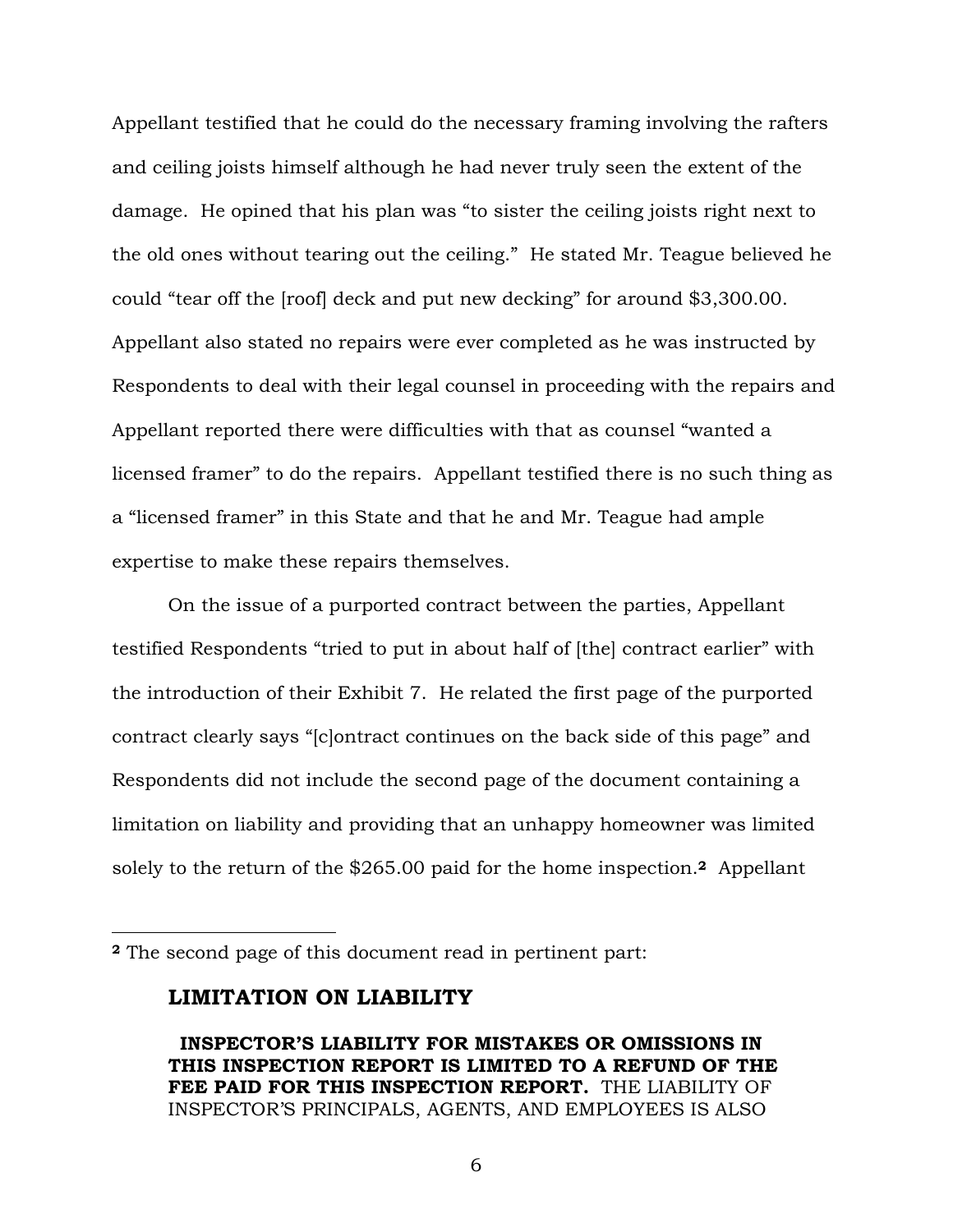Appellant testified that he could do the necessary framing involving the rafters and ceiling joists himself although he had never truly seen the extent of the damage. He opined that his plan was "to sister the ceiling joists right next to the old ones without tearing out the ceiling." He stated Mr. Teague believed he could "tear off the [roof] deck and put new decking" for around \$3,300.00. Appellant also stated no repairs were ever completed as he was instructed by Respondents to deal with their legal counsel in proceeding with the repairs and Appellant reported there were difficulties with that as counsel "wanted a licensed framer" to do the repairs. Appellant testified there is no such thing as a "licensed framer" in this State and that he and Mr. Teague had ample expertise to make these repairs themselves.

On the issue of a purported contract between the parties, Appellant testified Respondents "tried to put in about half of [the] contract earlier" with the introduction of their Exhibit 7. He related the first page of the purported contract clearly says "[c]ontract continues on the back side of this page" and Respondents did not include the second page of the document containing a limitation on liability and providing that an unhappy homeowner was limited solely to the return of the \$265.00 paid for the home inspection.**<sup>2</sup>** Appellant

#### **LIMITATION ON LIABILITY**

 $\overline{a}$ 

**<sup>2</sup>** The second page of this document read in pertinent part:

**INSPECTOR'S LIABILITY FOR MISTAKES OR OMISSIONS IN THIS INSPECTION REPORT IS LIMITED TO A REFUND OF THE FEE PAID FOR THIS INSPECTION REPORT.** THE LIABILITY OF INSPECTOR'S PRINCIPALS, AGENTS, AND EMPLOYEES IS ALSO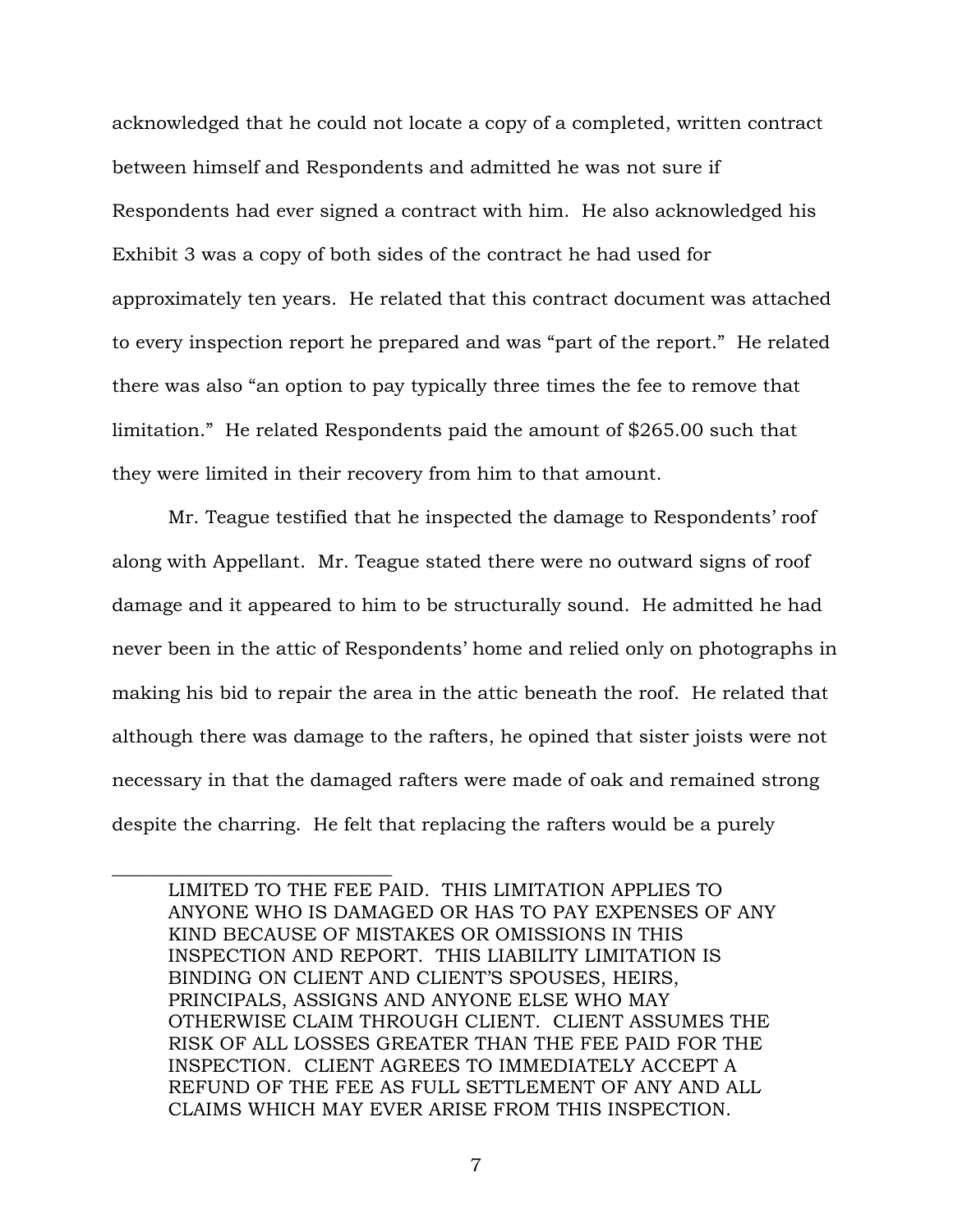acknowledged that he could not locate a copy of a completed, written contract between himself and Respondents and admitted he was not sure if Respondents had ever signed a contract with him. He also acknowledged his Exhibit 3 was a copy of both sides of the contract he had used for approximately ten years. He related that this contract document was attached to every inspection report he prepared and was "part of the report." He related there was also "an option to pay typically three times the fee to remove that limitation." He related Respondents paid the amount of \$265.00 such that they were limited in their recovery from him to that amount.

Mr. Teague testified that he inspected the damage to Respondents' roof along with Appellant. Mr. Teague stated there were no outward signs of roof damage and it appeared to him to be structurally sound. He admitted he had never been in the attic of Respondents' home and relied only on photographs in making his bid to repair the area in the attic beneath the roof. He related that although there was damage to the rafters, he opined that sister joists were not necessary in that the damaged rafters were made of oak and remained strong despite the charring. He felt that replacing the rafters would be a purely

 $\_$ 

LIMITED TO THE FEE PAID. THIS LIMITATION APPLIES TO ANYONE WHO IS DAMAGED OR HAS TO PAY EXPENSES OF ANY KIND BECAUSE OF MISTAKES OR OMISSIONS IN THIS INSPECTION AND REPORT. THIS LIABILITY LIMITATION IS BINDING ON CLIENT AND CLIENT'S SPOUSES, HEIRS, PRINCIPALS, ASSIGNS AND ANYONE ELSE WHO MAY OTHERWISE CLAIM THROUGH CLIENT. CLIENT ASSUMES THE RISK OF ALL LOSSES GREATER THAN THE FEE PAID FOR THE INSPECTION. CLIENT AGREES TO IMMEDIATELY ACCEPT A REFUND OF THE FEE AS FULL SETTLEMENT OF ANY AND ALL CLAIMS WHICH MAY EVER ARISE FROM THIS INSPECTION.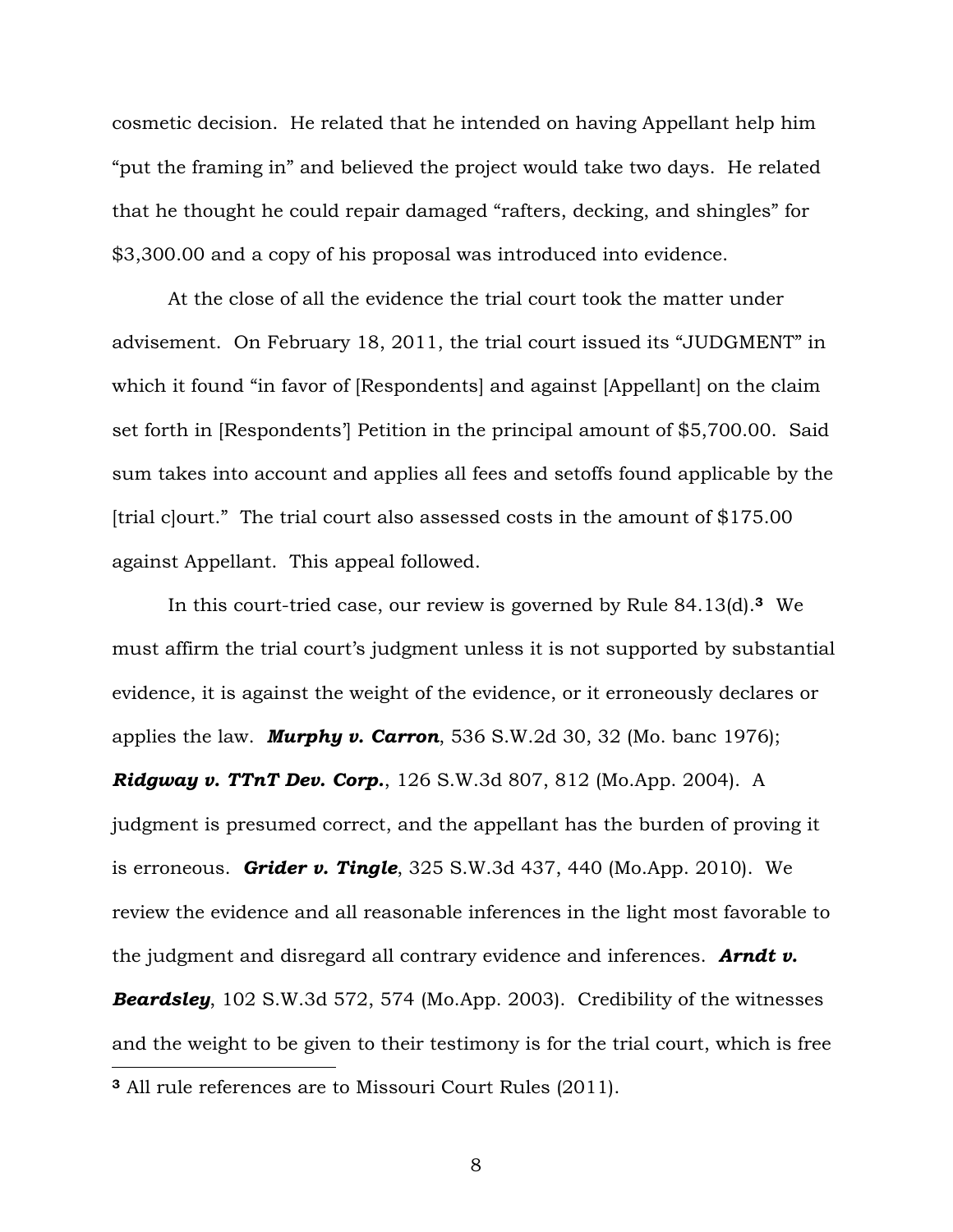cosmetic decision. He related that he intended on having Appellant help him "put the framing in" and believed the project would take two days. He related that he thought he could repair damaged "rafters, decking, and shingles" for \$3,300.00 and a copy of his proposal was introduced into evidence.

At the close of all the evidence the trial court took the matter under advisement. On February 18, 2011, the trial court issued its "JUDGMENT" in which it found "in favor of [Respondents] and against [Appellant] on the claim set forth in [Respondents'] Petition in the principal amount of \$5,700.00. Said sum takes into account and applies all fees and setoffs found applicable by the [trial c]ourt." The trial court also assessed costs in the amount of \$175.00 against Appellant. This appeal followed.

In this court-tried case, our review is governed by Rule 84.13(d).**<sup>3</sup>** We must affirm the trial court's judgment unless it is not supported by substantial evidence, it is against the weight of the evidence, or it erroneously declares or applies the law. *Murphy v. Carron*, 536 S.W.2d 30, 32 (Mo. banc 1976); *Ridgway v. TTnT Dev. Corp.*, 126 S.W.3d 807, 812 (Mo.App. 2004). A judgment is presumed correct, and the appellant has the burden of proving it is erroneous. *Grider v. Tingle*, 325 S.W.3d 437, 440 (Mo.App. 2010). We review the evidence and all reasonable inferences in the light most favorable to the judgment and disregard all contrary evidence and inferences. *Arndt v. Beardsley*, 102 S.W.3d 572, 574 (Mo.App. 2003). Credibility of the witnesses and the weight to be given to their testimony is for the trial court, which is free  $\overline{a}$ **<sup>3</sup>** All rule references are to Missouri Court Rules (2011).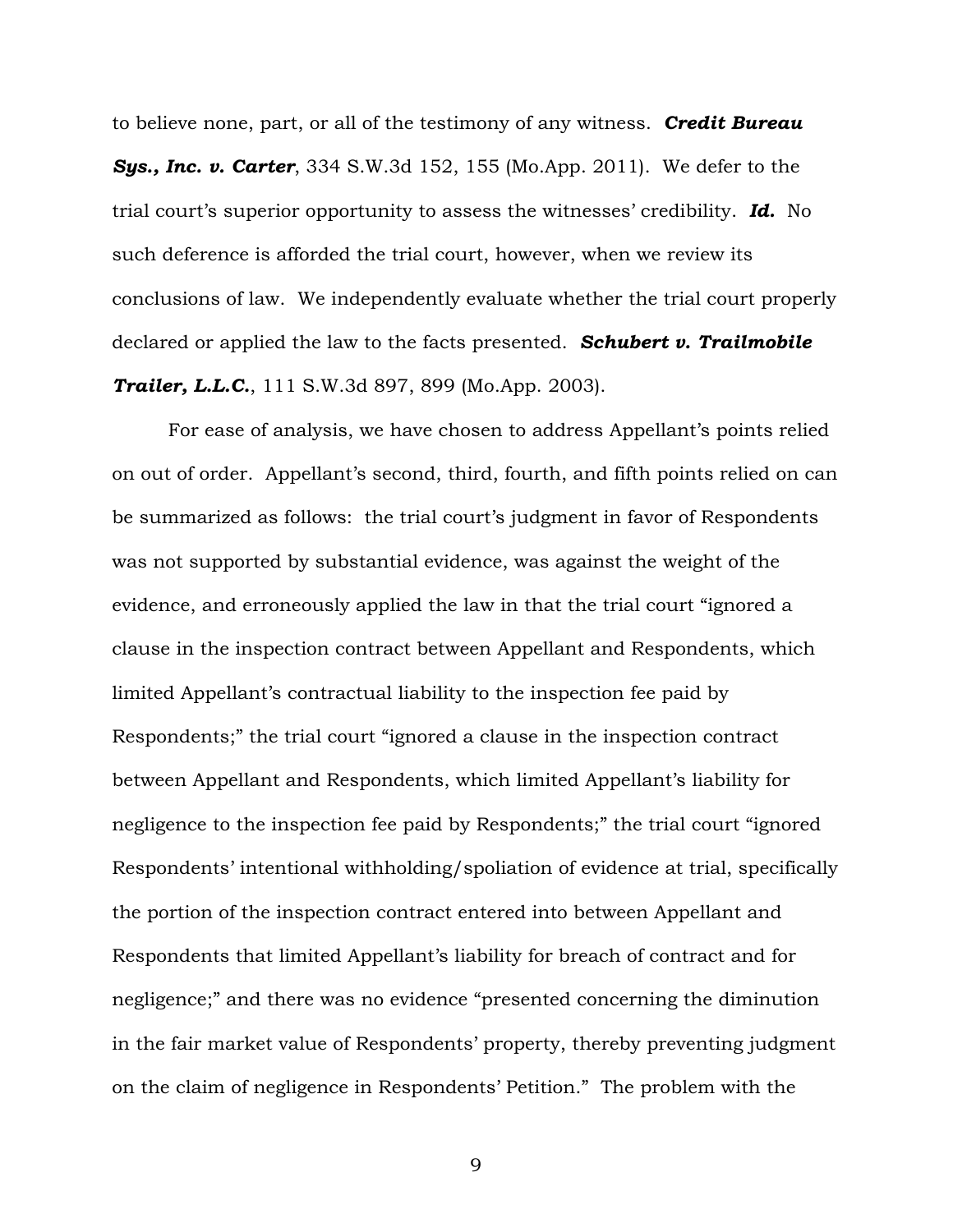to believe none, part, or all of the testimony of any witness. *Credit Bureau Sys., Inc. v. Carter*, 334 S.W.3d 152, 155 (Mo.App. 2011). We defer to the trial court's superior opportunity to assess the witnesses' credibility. *Id.* No such deference is afforded the trial court, however, when we review its conclusions of law. We independently evaluate whether the trial court properly declared or applied the law to the facts presented. *Schubert v. Trailmobile Trailer, L.L.C.*, 111 S.W.3d 897, 899 (Mo.App. 2003).

 For ease of analysis, we have chosen to address Appellant's points relied on out of order. Appellant's second, third, fourth, and fifth points relied on can be summarized as follows: the trial court's judgment in favor of Respondents was not supported by substantial evidence, was against the weight of the evidence, and erroneously applied the law in that the trial court "ignored a clause in the inspection contract between Appellant and Respondents, which limited Appellant's contractual liability to the inspection fee paid by Respondents;" the trial court "ignored a clause in the inspection contract between Appellant and Respondents, which limited Appellant's liability for negligence to the inspection fee paid by Respondents;" the trial court "ignored Respondents' intentional withholding/spoliation of evidence at trial, specifically the portion of the inspection contract entered into between Appellant and Respondents that limited Appellant's liability for breach of contract and for negligence;" and there was no evidence "presented concerning the diminution in the fair market value of Respondents' property, thereby preventing judgment on the claim of negligence in Respondents' Petition." The problem with the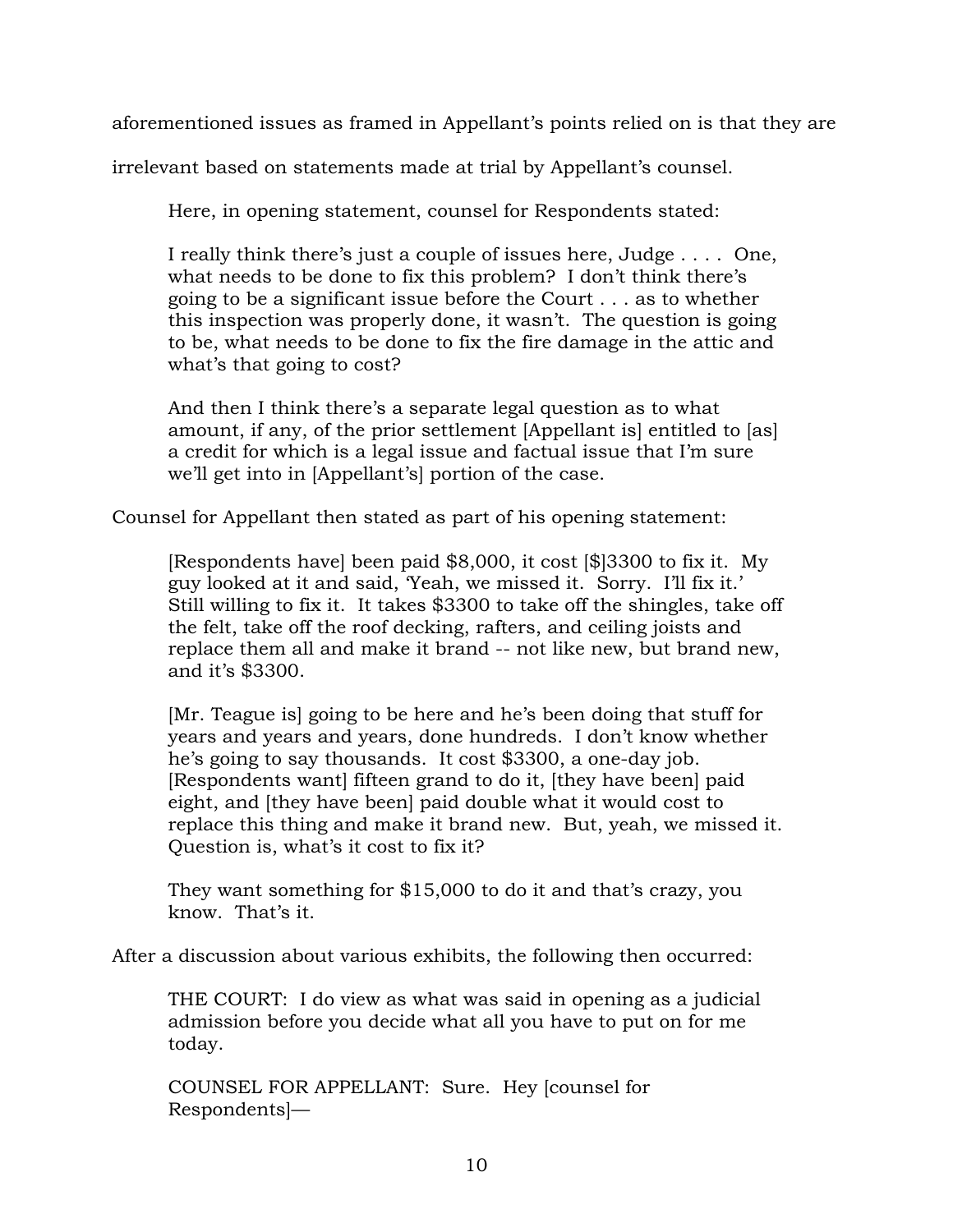aforementioned issues as framed in Appellant's points relied on is that they are

irrelevant based on statements made at trial by Appellant's counsel.

Here, in opening statement, counsel for Respondents stated:

I really think there's just a couple of issues here, Judge . . . . One, what needs to be done to fix this problem? I don't think there's going to be a significant issue before the Court . . . as to whether this inspection was properly done, it wasn't. The question is going to be, what needs to be done to fix the fire damage in the attic and what's that going to cost?

And then I think there's a separate legal question as to what amount, if any, of the prior settlement [Appellant is] entitled to [as] a credit for which is a legal issue and factual issue that I'm sure we'll get into in [Appellant's] portion of the case.

Counsel for Appellant then stated as part of his opening statement:

[Respondents have] been paid \$8,000, it cost [\$]3300 to fix it. My guy looked at it and said, 'Yeah, we missed it. Sorry. I'll fix it.' Still willing to fix it. It takes \$3300 to take off the shingles, take off the felt, take off the roof decking, rafters, and ceiling joists and replace them all and make it brand -- not like new, but brand new, and it's \$3300.

[Mr. Teague is] going to be here and he's been doing that stuff for years and years and years, done hundreds. I don't know whether he's going to say thousands. It cost \$3300, a one-day job. [Respondents want] fifteen grand to do it, [they have been] paid eight, and [they have been] paid double what it would cost to replace this thing and make it brand new. But, yeah, we missed it. Question is, what's it cost to fix it?

They want something for \$15,000 to do it and that's crazy, you know. That's it.

After a discussion about various exhibits, the following then occurred:

THE COURT: I do view as what was said in opening as a judicial admission before you decide what all you have to put on for me today.

COUNSEL FOR APPELLANT: Sure. Hey [counsel for Respondents]—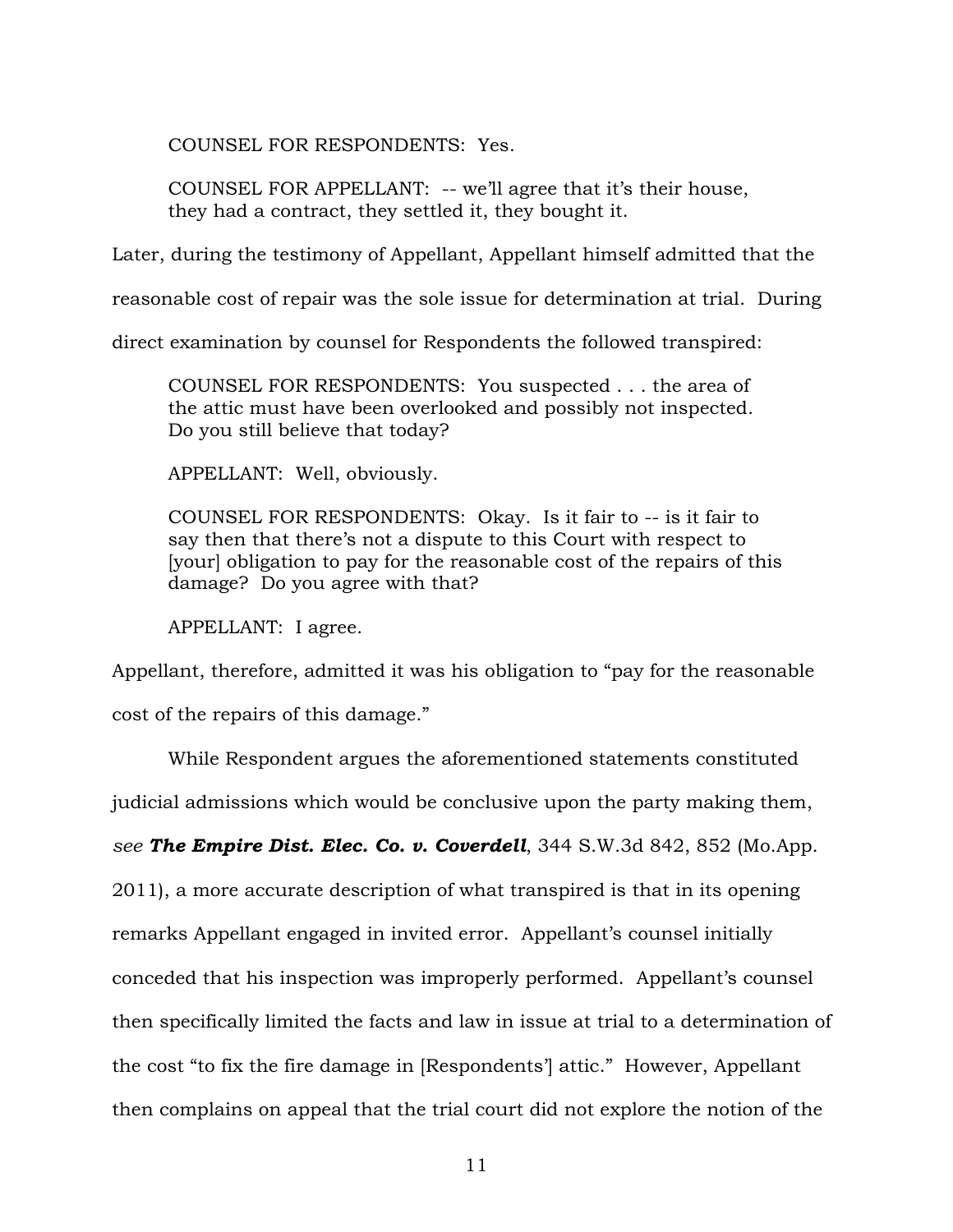COUNSEL FOR RESPONDENTS: Yes.

COUNSEL FOR APPELLANT: -- we'll agree that it's their house, they had a contract, they settled it, they bought it.

Later, during the testimony of Appellant, Appellant himself admitted that the

reasonable cost of repair was the sole issue for determination at trial. During

direct examination by counsel for Respondents the followed transpired:

COUNSEL FOR RESPONDENTS: You suspected . . . the area of the attic must have been overlooked and possibly not inspected. Do you still believe that today?

APPELLANT: Well, obviously.

COUNSEL FOR RESPONDENTS: Okay. Is it fair to -- is it fair to say then that there's not a dispute to this Court with respect to [your] obligation to pay for the reasonable cost of the repairs of this damage? Do you agree with that?

APPELLANT: I agree.

Appellant, therefore, admitted it was his obligation to "pay for the reasonable

cost of the repairs of this damage."

While Respondent argues the aforementioned statements constituted judicial admissions which would be conclusive upon the party making them, *see The Empire Dist. Elec. Co. v. Coverdell*, 344 S.W.3d 842, 852 (Mo.App. 2011), a more accurate description of what transpired is that in its opening remarks Appellant engaged in invited error. Appellant's counsel initially conceded that his inspection was improperly performed. Appellant's counsel then specifically limited the facts and law in issue at trial to a determination of the cost "to fix the fire damage in [Respondents'] attic." However, Appellant then complains on appeal that the trial court did not explore the notion of the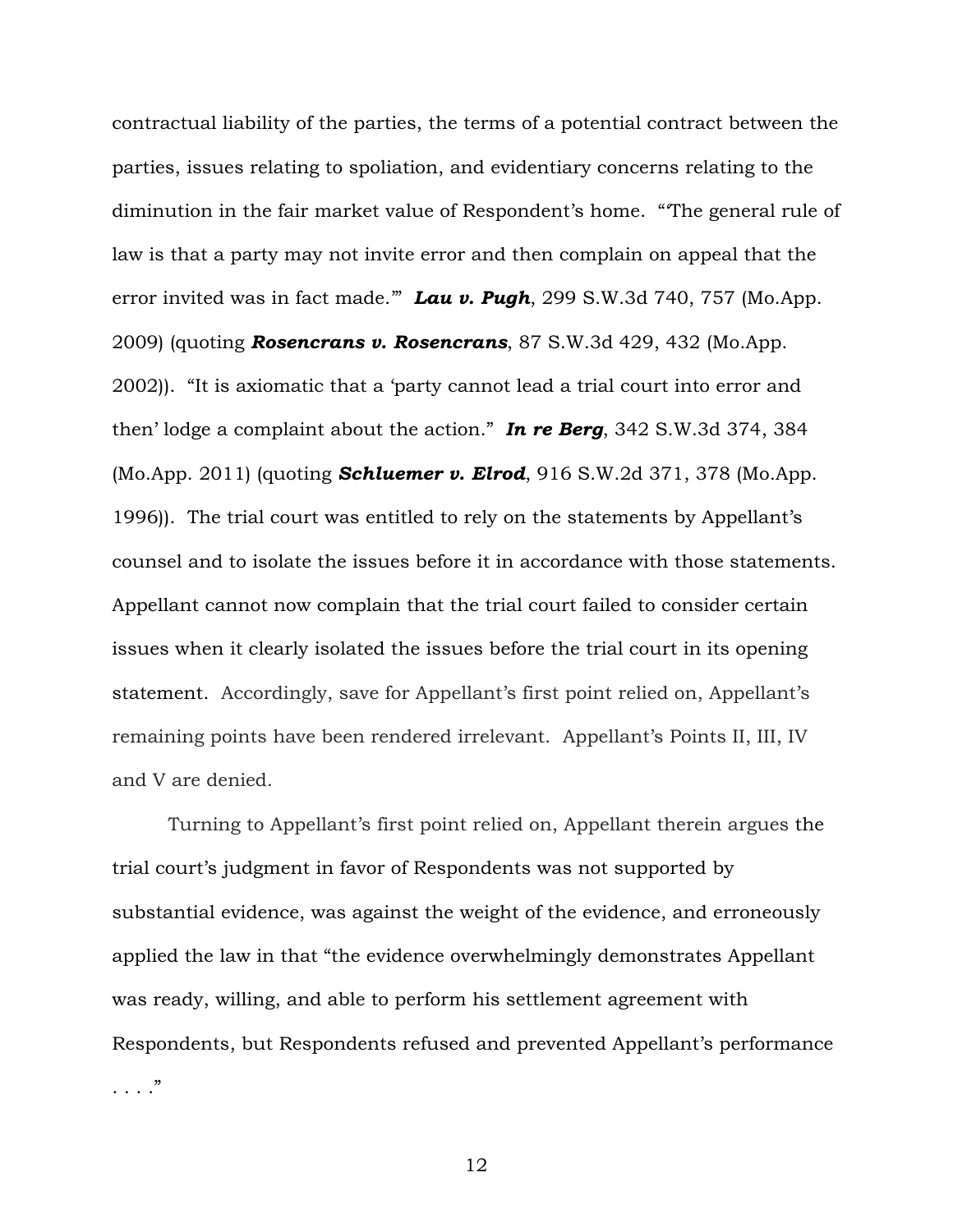contractual liability of the parties, the terms of a potential contract between the parties, issues relating to spoliation, and evidentiary concerns relating to the diminution in the fair market value of Respondent's home. "'The general rule of law is that a party may not invite error and then complain on appeal that the error invited was in fact made.'" *Lau v. Pugh*, 299 S.W.3d 740, 757 (Mo.App. 2009) (quoting *Rosencrans v. Rosencrans*, 87 S.W.3d 429, 432 (Mo.App. 2002)). "It is axiomatic that a 'party cannot lead a trial court into error and then' lodge a complaint about the action." *In re Berg*, 342 S.W.3d 374, 384 (Mo.App. 2011) (quoting *Schluemer v. Elrod*, 916 S.W.2d 371, 378 (Mo.App. 1996)). The trial court was entitled to rely on the statements by Appellant's counsel and to isolate the issues before it in accordance with those statements. Appellant cannot now complain that the trial court failed to consider certain issues when it clearly isolated the issues before the trial court in its opening statement. Accordingly, save for Appellant's first point relied on, Appellant's remaining points have been rendered irrelevant. Appellant's Points II, III, IV and V are denied.

 Turning to Appellant's first point relied on, Appellant therein argues the trial court's judgment in favor of Respondents was not supported by substantial evidence, was against the weight of the evidence, and erroneously applied the law in that "the evidence overwhelmingly demonstrates Appellant was ready, willing, and able to perform his settlement agreement with Respondents, but Respondents refused and prevented Appellant's performance . . . ."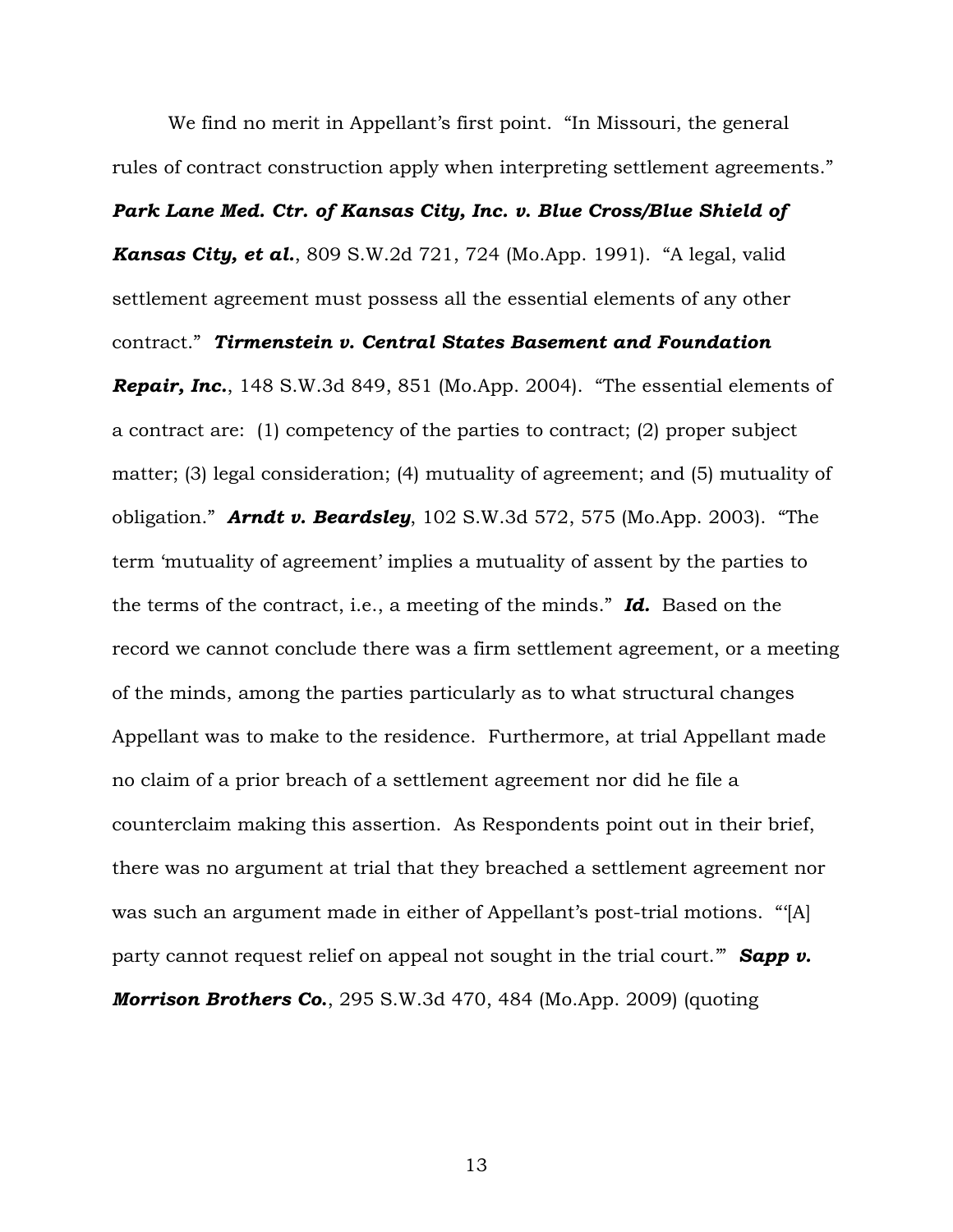We find no merit in Appellant's first point. "In Missouri, the general rules of contract construction apply when interpreting settlement agreements."

#### *Park Lane Med. Ctr. of Kansas City, Inc. v. Blue Cross/Blue Shield of*

*Kansas City, et al.*, 809 S.W.2d 721, 724 (Mo.App. 1991). "A legal, valid settlement agreement must possess all the essential elements of any other contract." *Tirmenstein v. Central States Basement and Foundation Repair, Inc.*, 148 S.W.3d 849, 851 (Mo.App. 2004). "The essential elements of a contract are: (1) competency of the parties to contract; (2) proper subject matter; (3) legal consideration; (4) mutuality of agreement; and (5) mutuality of obligation." *Arndt v. Beardsley*, 102 S.W.3d 572, 575 (Mo.App. 2003). "The term 'mutuality of agreement' implies a mutuality of assent by the parties to the terms of the contract, i.e., a meeting of the minds." *Id.* Based on the record we cannot conclude there was a firm settlement agreement, or a meeting of the minds, among the parties particularly as to what structural changes Appellant was to make to the residence. Furthermore, at trial Appellant made no claim of a prior breach of a settlement agreement nor did he file a counterclaim making this assertion. As Respondents point out in their brief, there was no argument at trial that they breached a settlement agreement nor was such an argument made in either of Appellant's post-trial motions. "'[A] party cannot request relief on appeal not sought in the trial court." **Sapp v.** *Morrison Brothers Co***.**, 295 S.W.3d 470, 484 (Mo.App. 2009) (quoting